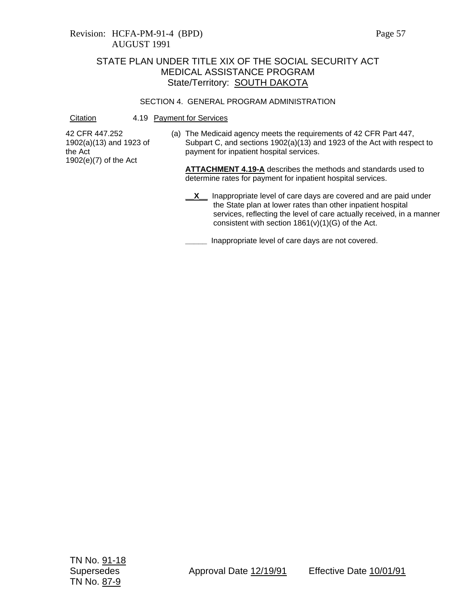### SECTION 4. GENERAL PROGRAM ADMINISTRATION

Citation 4.19 Payment for Services

42 CFR 447.252 1902(a)(13) and 1923 of the Act 1902(e)(7) of the Act

(a) The Medicaid agency meets the requirements of 42 CFR Part 447, Subpart C, and sections 1902(a)(13) and 1923 of the Act with respect to payment for inpatient hospital services.

**ATTACHMENT 4.19-A** describes the methods and standards used to determine rates for payment for inpatient hospital services.

**\_\_X\_\_** Inappropriate level of care days are covered and are paid under the State plan at lower rates than other inpatient hospital services, reflecting the level of care actually received, in a manner consistent with section  $1861(v)(1)(G)$  of the Act.

**\_\_\_\_\_** Inappropriate level of care days are not covered.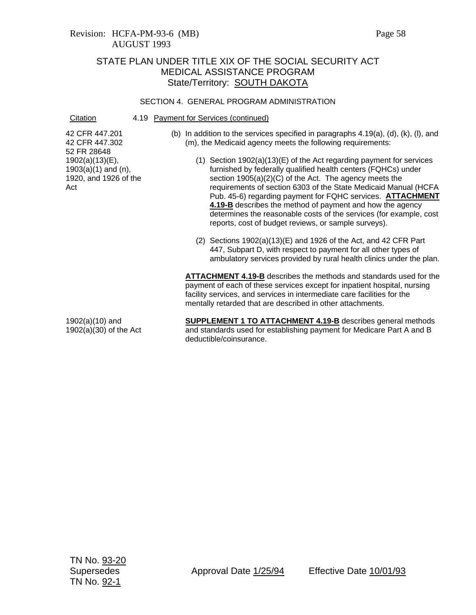#### SECTION 4. GENERAL PROGRAM ADMINISTRATION

### Citation 4.19 Payment for Services (continued)

42 CFR 447.201 42 CFR 447.302 52 FR 28648 1902(a)(13)(E),  $1903(a)(1)$  and  $(n)$ , 1920, and 1926 of the Act

- (b) In addition to the services specified in paragraphs 4.19(a), (d), (k), (l), and (m), the Medicaid agency meets the following requirements:
	- (1) Section 1902(a)(13)(E) of the Act regarding payment for services furnished by federally qualified health centers (FQHCs) under section 1905(a)(2)(C) of the Act. The agency meets the requirements of section 6303 of the State Medicaid Manual (HCFA Pub. 45-6) regarding payment for FQHC services. **ATTACHMENT 4.19-B** describes the method of payment and how the agency determines the reasonable costs of the services (for example, cost reports, cost of budget reviews, or sample surveys).
	- (2) Sections 1902(a)(13)(E) and 1926 of the Act, and 42 CFR Part 447, Subpart D, with respect to payment for all other types of ambulatory services provided by rural health clinics under the plan.

**ATTACHMENT 4.19-B** describes the methods and standards used for the payment of each of these services except for inpatient hospital, nursing facility services, and services in intermediate care facilities for the mentally retarded that are described in other attachments.

1902(a)(10) and 1902(a)(30) of the Act

**SUPPLEMENT 1 TO ATTACHMENT 4.19-B** describes general methods and standards used for establishing payment for Medicare Part A and B deductible/coinsurance.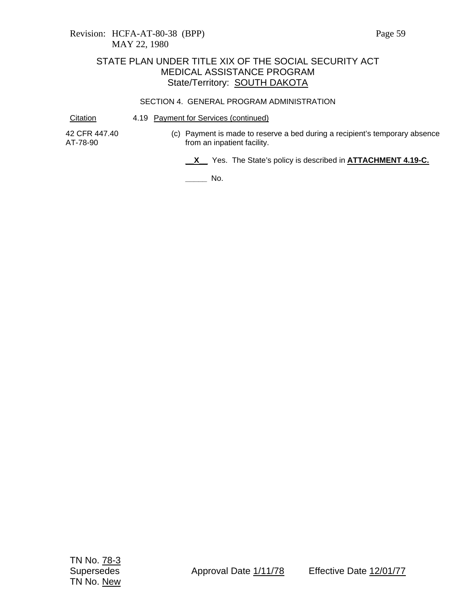#### SECTION 4. GENERAL PROGRAM ADMINISTRATION

Citation 4.19 Payment for Services (continued)

42 CFR 447.40 AT-78-90

(c) Payment is made to reserve a bed during a recipient's temporary absence from an inpatient facility.

**\_\_X\_\_** Yes. The State's policy is described in **ATTACHMENT 4.19-C.**

**\_\_\_\_\_** No.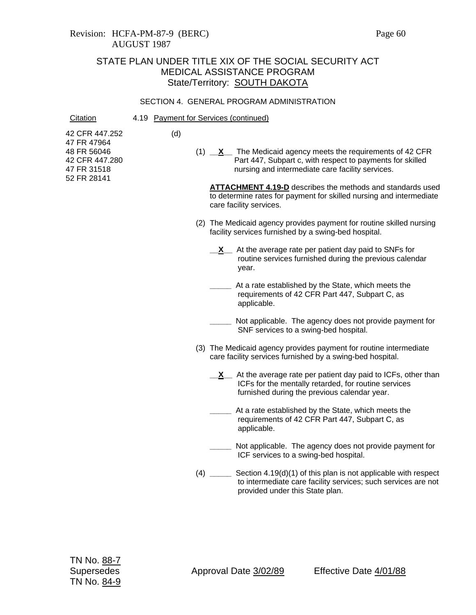### Revision: HCFA-PM-87-9 (BERC) Page 60 AUGUST 1987

## STATE PLAN UNDER TITLE XIX OF THE SOCIAL SECURITY ACT MEDICAL ASSISTANCE PROGRAM State/Territory: SOUTH DAKOTA

#### SECTION 4. GENERAL PROGRAM ADMINISTRATION

Citation 4.19 Payment for Services (continued)

(d)

42 CFR 447.252 47 FR 47964 48 FR 56046 42 CFR 447.280 47 FR 31518

52 FR 28141

(1) **\_\_X\_\_** The Medicaid agency meets the requirements of 42 CFR Part 447, Subpart c, with respect to payments for skilled nursing and intermediate care facility services.

**ATTACHMENT 4.19-D** describes the methods and standards used to determine rates for payment for skilled nursing and intermediate care facility services.

- (2) The Medicaid agency provides payment for routine skilled nursing facility services furnished by a swing-bed hospital.
	- **X** At the average rate per patient day paid to SNFs for routine services furnished during the previous calendar year.
		- **\_\_\_\_\_** At a rate established by the State, which meets the requirements of 42 CFR Part 447, Subpart C, as applicable.
	- **\_\_\_\_\_** Not applicable. The agency does not provide payment for SNF services to a swing-bed hospital.
- (3) The Medicaid agency provides payment for routine intermediate care facility services furnished by a swing-bed hospital.
	- **X** At the average rate per patient day paid to ICFs, other than ICFs for the mentally retarded, for routine services furnished during the previous calendar year.
	- **\_\_\_\_\_** At a rate established by the State, which meets the requirements of 42 CFR Part 447, Subpart C, as applicable.
	- Not applicable. The agency does not provide payment for ICF services to a swing-bed hospital.
- (4) **\_\_\_\_\_** Section 4.19(d)(1) of this plan is not applicable with respect to intermediate care facility services; such services are not provided under this State plan.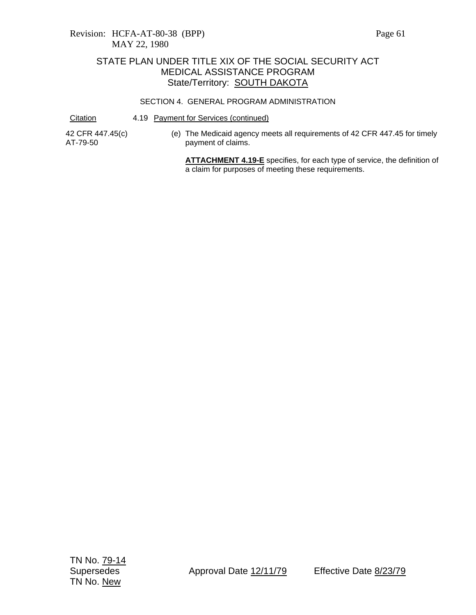### SECTION 4. GENERAL PROGRAM ADMINISTRATION

Citation 4.19 Payment for Services (continued)

42 CFR 447.45(c) AT-79-50

(e) The Medicaid agency meets all requirements of 42 CFR 447.45 for timely payment of claims.

**ATTACHMENT 4.19-E** specifies, for each type of service, the definition of a claim for purposes of meeting these requirements.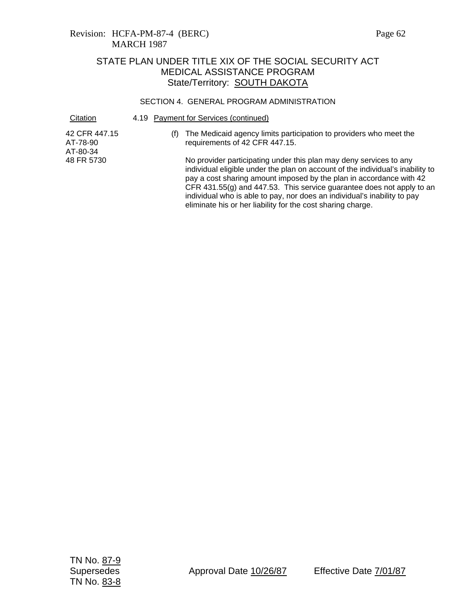### Revision: HCFA-PM-87-4 (BERC) Page 62 MARCH 1987

# STATE PLAN UNDER TITLE XIX OF THE SOCIAL SECURITY ACT MEDICAL ASSISTANCE PROGRAM State/Territory: SOUTH DAKOTA

### SECTION 4. GENERAL PROGRAM ADMINISTRATION

| Citation                              | 4.19 Payment for Services (continued)                                                                                                                                                                                                                                                                                                                                                                                                                |  |  |  |
|---------------------------------------|------------------------------------------------------------------------------------------------------------------------------------------------------------------------------------------------------------------------------------------------------------------------------------------------------------------------------------------------------------------------------------------------------------------------------------------------------|--|--|--|
| 42 CFR 447.15<br>AT-78-90<br>AT-80-34 | The Medicaid agency limits participation to providers who meet the<br>requirements of 42 CFR 447.15.                                                                                                                                                                                                                                                                                                                                                 |  |  |  |
| 48 FR 5730                            | No provider participating under this plan may deny services to any<br>individual eligible under the plan on account of the individual's inability to<br>pay a cost sharing amount imposed by the plan in accordance with 42<br>CFR $431.55(g)$ and $447.53$ . This service guarantee does not apply to an<br>individual who is able to pay, nor does an individual's inability to pay<br>eliminate his or her liability for the cost sharing charge. |  |  |  |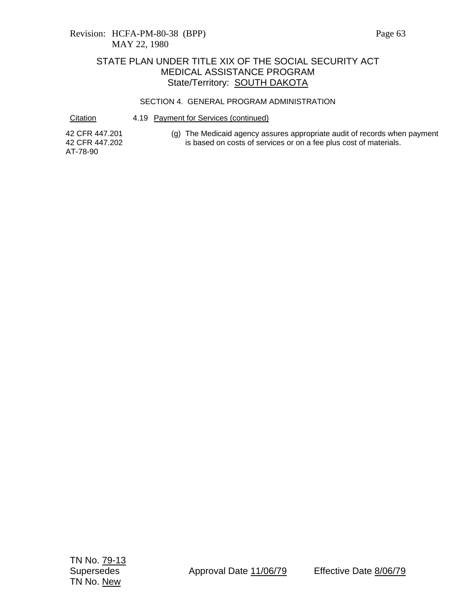### SECTION 4. GENERAL PROGRAM ADMINISTRATION

Citation 4.19 Payment for Services (continued)

42 CFR 447.201 42 CFR 447.202 AT-78-90

(g) The Medicaid agency assures appropriate audit of records when payment is based on costs of services or on a fee plus cost of materials.

TN No. 79-13 TN No. New

Supersedes Approval Date 11/06/79 Effective Date 8/06/79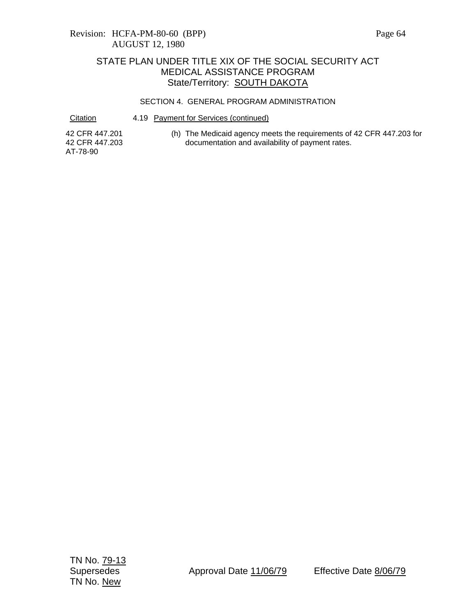### SECTION 4. GENERAL PROGRAM ADMINISTRATION

Citation 4.19 Payment for Services (continued)

42 CFR 447.201 42 CFR 447.203 AT-78-90

(h) The Medicaid agency meets the requirements of 42 CFR 447.203 for documentation and availability of payment rates.

TN No. 79-13 TN No. New

Supersedes Approval Date 11/06/79 Effective Date 8/06/79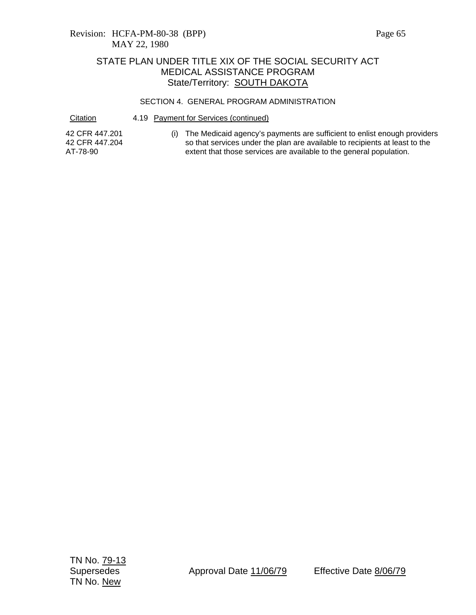### SECTION 4. GENERAL PROGRAM ADMINISTRATION

Citation 4.19 Payment for Services (continued)

42 CFR 447.201 42 CFR 447.204 AT-78-90

(i) The Medicaid agency's payments are sufficient to enlist enough providers so that services under the plan are available to recipients at least to the extent that those services are available to the general population.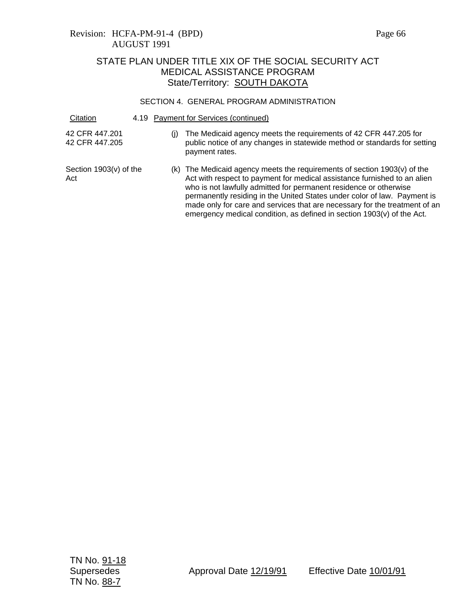## Revision: HCFA-PM-91-4 (BPD) Page 66 AUGUST 1991

# STATE PLAN UNDER TITLE XIX OF THE SOCIAL SECURITY ACT MEDICAL ASSISTANCE PROGRAM State/Territory: **SOUTH DAKOTA**

### SECTION 4. GENERAL PROGRAM ADMINISTRATION

| Citation                         |     | 4.19 Payment for Services (continued)                                                                                                                                                                                                                                                                                                                                                                                                                         |
|----------------------------------|-----|---------------------------------------------------------------------------------------------------------------------------------------------------------------------------------------------------------------------------------------------------------------------------------------------------------------------------------------------------------------------------------------------------------------------------------------------------------------|
| 42 CFR 447.201<br>42 CFR 447.205 | (j) | The Medicaid agency meets the requirements of 42 CFR 447.205 for<br>public notice of any changes in statewide method or standards for setting<br>payment rates.                                                                                                                                                                                                                                                                                               |
| Section 1903(v) of the<br>Act    |     | (k) The Medicaid agency meets the requirements of section 1903(v) of the<br>Act with respect to payment for medical assistance furnished to an alien<br>who is not lawfully admitted for permanent residence or otherwise<br>permanently residing in the United States under color of law. Payment is<br>made only for care and services that are necessary for the treatment of an<br>emergency medical condition, as defined in section 1903(v) of the Act. |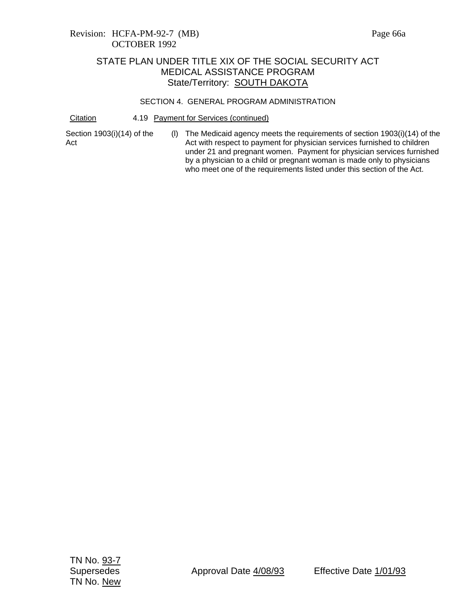### Revision: HCFA-PM-92-7 (MB) Page 66a OCTOBER 1992

### STATE PLAN UNDER TITLE XIX OF THE SOCIAL SECURITY ACT MEDICAL ASSISTANCE PROGRAM State/Territory: SOUTH DAKOTA

### SECTION 4. GENERAL PROGRAM ADMINISTRATION

Citation 4.19 Payment for Services (continued)

Section 1903(i)(14) of the Act

(l) The Medicaid agency meets the requirements of section 1903(i)(14) of the Act with respect to payment for physician services furnished to children under 21 and pregnant women. Payment for physician services furnished by a physician to a child or pregnant woman is made only to physicians who meet one of the requirements listed under this section of the Act.